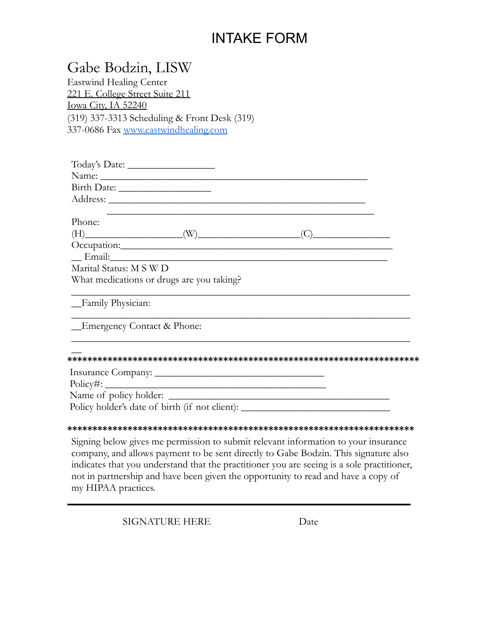# INTAKE FORM

| Gabe Bodzin, LISW                                                                                                                                                                                                                                                                                                                                                  |                                                                                                                        |
|--------------------------------------------------------------------------------------------------------------------------------------------------------------------------------------------------------------------------------------------------------------------------------------------------------------------------------------------------------------------|------------------------------------------------------------------------------------------------------------------------|
| <b>Eastwind Healing Center</b>                                                                                                                                                                                                                                                                                                                                     |                                                                                                                        |
| 221 E. College Street Suite 211                                                                                                                                                                                                                                                                                                                                    |                                                                                                                        |
| Iowa City, IA 52240                                                                                                                                                                                                                                                                                                                                                |                                                                                                                        |
| (319) 337-3313 Scheduling & Front Desk (319)                                                                                                                                                                                                                                                                                                                       |                                                                                                                        |
| 337-0686 Fax www.eastwindhealing.com                                                                                                                                                                                                                                                                                                                               |                                                                                                                        |
|                                                                                                                                                                                                                                                                                                                                                                    |                                                                                                                        |
|                                                                                                                                                                                                                                                                                                                                                                    |                                                                                                                        |
|                                                                                                                                                                                                                                                                                                                                                                    |                                                                                                                        |
|                                                                                                                                                                                                                                                                                                                                                                    |                                                                                                                        |
|                                                                                                                                                                                                                                                                                                                                                                    |                                                                                                                        |
|                                                                                                                                                                                                                                                                                                                                                                    |                                                                                                                        |
| Phone:                                                                                                                                                                                                                                                                                                                                                             |                                                                                                                        |
|                                                                                                                                                                                                                                                                                                                                                                    |                                                                                                                        |
| $\begin{picture}(150,10) \put(0,0){\vector(1,0){100}} \put(15,0){\vector(1,0){100}} \put(15,0){\vector(1,0){100}} \put(15,0){\vector(1,0){100}} \put(15,0){\vector(1,0){100}} \put(15,0){\vector(1,0){100}} \put(15,0){\vector(1,0){100}} \put(15,0){\vector(1,0){100}} \put(15,0){\vector(1,0){100}} \put(15,0){\vector(1,0){100}} \put(15,0){\vector(1,0){100}}$ |                                                                                                                        |
|                                                                                                                                                                                                                                                                                                                                                                    |                                                                                                                        |
| Marital Status: M S W D                                                                                                                                                                                                                                                                                                                                            |                                                                                                                        |
| What medications or drugs are you taking?                                                                                                                                                                                                                                                                                                                          |                                                                                                                        |
| _Family Physician:                                                                                                                                                                                                                                                                                                                                                 | the control of the control of the control of the control of the control of the control of                              |
| _Emergency Contact & Phone:                                                                                                                                                                                                                                                                                                                                        | <u> 1989 - Johann John Stoff, deutscher Stoffen und der Stoffen und der Stoffen und der Stoffen und der Stoffen un</u> |
|                                                                                                                                                                                                                                                                                                                                                                    |                                                                                                                        |
|                                                                                                                                                                                                                                                                                                                                                                    |                                                                                                                        |
|                                                                                                                                                                                                                                                                                                                                                                    |                                                                                                                        |
|                                                                                                                                                                                                                                                                                                                                                                    |                                                                                                                        |
| Policy holder's date of birth (if not client): __________________________________                                                                                                                                                                                                                                                                                  |                                                                                                                        |
|                                                                                                                                                                                                                                                                                                                                                                    |                                                                                                                        |
|                                                                                                                                                                                                                                                                                                                                                                    |                                                                                                                        |
| Signing below gives me permission to submit relevant information to your insurance                                                                                                                                                                                                                                                                                 |                                                                                                                        |
| $1 \t11$ $11$ $11$ $11$ $11$ $12$ $13$ $14$ $15$ $11$ $11$ $12$ $13$ $11$ $12$ $13$ $11$                                                                                                                                                                                                                                                                           |                                                                                                                        |

company, and allows payment to be sent directly to Gabe Bodzin. This signature also indicates that you understand that the practitioner you are seeing is a sole practitioner, not in partnership and have been given the opportunity to read and have a copy of my HIPAA practices.

SIGNATURE HERE Date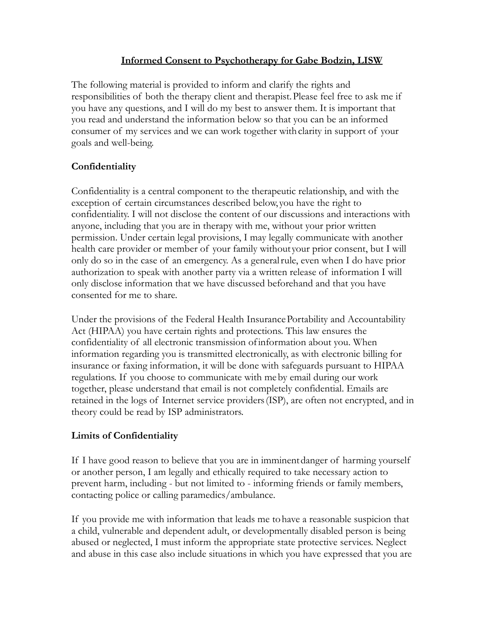## **Informed Consent to Psychotherapy for Gabe Bodzin, LISW**

The following material is provided to inform and clarify the rights and responsibilities of both the therapy client and therapist.Please feel free to ask me if you have any questions, and I will do my best to answer them. It is important that you read and understand the information below so that you can be an informed consumer of my services and we can work together withclarity in support of your goals and well-being.

# **Confidentiality**

Confidentiality is a central component to the therapeutic relationship, and with the exception of certain circumstances described below, you have the right to confidentiality. I will not disclose the content of our discussions and interactions with anyone, including that you are in therapy with me, without your prior written permission. Under certain legal provisions, I may legally communicate with another health care provider or member of your family without your prior consent, but I will only do so in the case of an emergency. As a generalrule, even when I do have prior authorization to speak with another party via a written release of information I will only disclose information that we have discussed beforehand and that you have consented for me to share.

Under the provisions of the Federal Health InsurancePortability and Accountability Act (HIPAA) you have certain rights and protections. This law ensures the confidentiality of all electronic transmission ofinformation about you. When information regarding you is transmitted electronically, as with electronic billing for insurance or faxing information, it will be done with safeguards pursuant to HIPAA regulations. If you choose to communicate with meby email during our work together, please understand that email is not completely confidential. Emails are retained in the logs of Internet service providers(ISP), are often not encrypted, and in theory could be read by ISP administrators.

### **Limits of Confidentiality**

If I have good reason to believe that you are in imminentdanger of harming yourself or another person, I am legally and ethically required to take necessary action to prevent harm, including - but not limited to - informing friends or family members, contacting police or calling paramedics/ambulance.

If you provide me with information that leads me tohave a reasonable suspicion that a child, vulnerable and dependent adult, or developmentally disabled person is being abused or neglected, I must inform the appropriate state protective services. Neglect and abuse in this case also include situations in which you have expressed that you are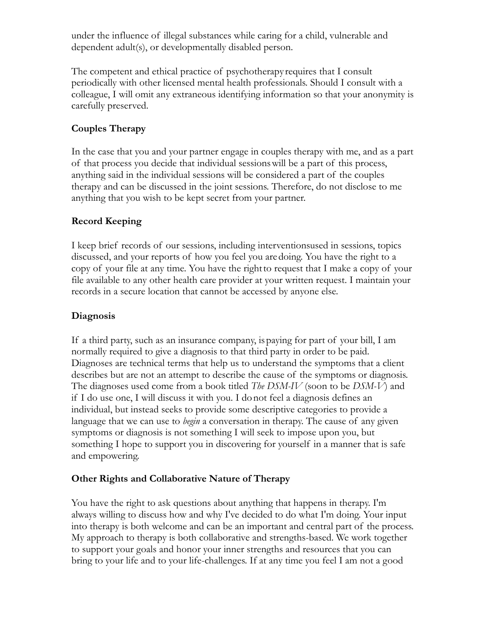under the influence of illegal substances while caring for a child, vulnerable and dependent adult(s), or developmentally disabled person.

The competent and ethical practice of psychotherapy requires that I consult periodically with other licensed mental health professionals. Should I consult with a colleague, I will omit any extraneous identifying information so that your anonymity is carefully preserved.

## **Couples Therapy**

In the case that you and your partner engage in couples therapy with me, and as a part of that process you decide that individual sessionswill be a part of this process, anything said in the individual sessions will be considered a part of the couples therapy and can be discussed in the joint sessions. Therefore, do not disclose to me anything that you wish to be kept secret from your partner.

### **Record Keeping**

I keep brief records of our sessions, including interventionsused in sessions, topics discussed, and your reports of how you feel you aredoing. You have the right to a copy of your file at any time. You have the rightto request that I make a copy of your file available to any other health care provider at your written request. I maintain your records in a secure location that cannot be accessed by anyone else.

## **Diagnosis**

If a third party, such as an insurance company, ispaying for part of your bill, I am normally required to give a diagnosis to that third party in order to be paid. Diagnoses are technical terms that help us to understand the symptoms that a client describes but are not an attempt to describe the cause of the symptoms or diagnosis. The diagnoses used come from a book titled *The DSM-IV* (soon to be *DSM-V*) and if I do use one, I will discuss it with you. I donot feel a diagnosis defines an individual, but instead seeks to provide some descriptive categories to provide a language that we can use to *begin* a conversation in therapy. The cause of any given symptoms or diagnosis is not something I will seek to impose upon you, but something I hope to support you in discovering for yourself in a manner that is safe and empowering.

### **Other Rights and Collaborative Nature of Therapy**

You have the right to ask questions about anything that happens in therapy. I'm always willing to discuss how and why I've decided to do what I'm doing. Your input into therapy is both welcome and can be an important and central part of the process. My approach to therapy is both collaborative and strengths-based. We work together to support your goals and honor your inner strengths and resources that you can bring to your life and to your life-challenges. If at any time you feel I am not a good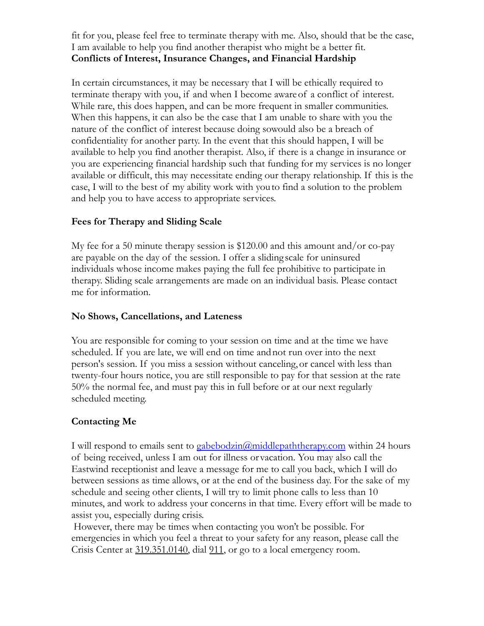fit for you, please feel free to terminate therapy with me. Also, should that be the case, I am available to help you find another therapist who might be a better fit. **Conflicts of Interest, Insurance Changes, and Financial Hardship**

In certain circumstances, it may be necessary that I will be ethically required to terminate therapy with you, if and when I become awareof a conflict of interest. While rare, this does happen, and can be more frequent in smaller communities. When this happens, it can also be the case that I am unable to share with you the nature of the conflict of interest because doing sowould also be a breach of confidentiality for another party. In the event that this should happen, I will be available to help you find another therapist. Also, if there is a change in insurance or you are experiencing financial hardship such that funding for my services is no longer available or difficult, this may necessitate ending our therapy relationship. If this is the case, I will to the best of my ability work with youto find a solution to the problem and help you to have access to appropriate services.

### **Fees for Therapy and Sliding Scale**

My fee for a 50 minute therapy session is \$120.00 and this amount and/or co-pay are payable on the day of the session. I offer a sliding scale for uninsured individuals whose income makes paying the full fee prohibitive to participate in therapy. Sliding scale arrangements are made on an individual basis. Please contact me for information.

### **No Shows, Cancellations, and Lateness**

You are responsible for coming to your session on time and at the time we have scheduled. If you are late, we will end on time andnot run over into the next person's session. If you miss a session without canceling,or cancel with less than twenty-four hours notice, you are still responsible to pay for that session at the rate 50% the normal fee, and must pay this in full before or at our next regularly scheduled meeting.

# **Contacting Me**

I will respond to emails sent to  $gabebodzin@middepaththerapycom$  within 24 hours of being received, unless I am out for illness or vacation. You may also call the Eastwind receptionist and leave a message for me to call you back, which I will do between sessions as time allows, or at the end of the business day. For the sake of my schedule and seeing other clients, I will try to limit phone calls to less than 10 minutes, and work to address your concerns in that time. Every effort will be made to assist you, especially during crisis.

However, there may be times when contacting you won't be possible. For emergencies in which you feel a threat to your safety for any reason, please call the Crisis Center at 319.351.0140, dial 911, or go to a local emergency room.